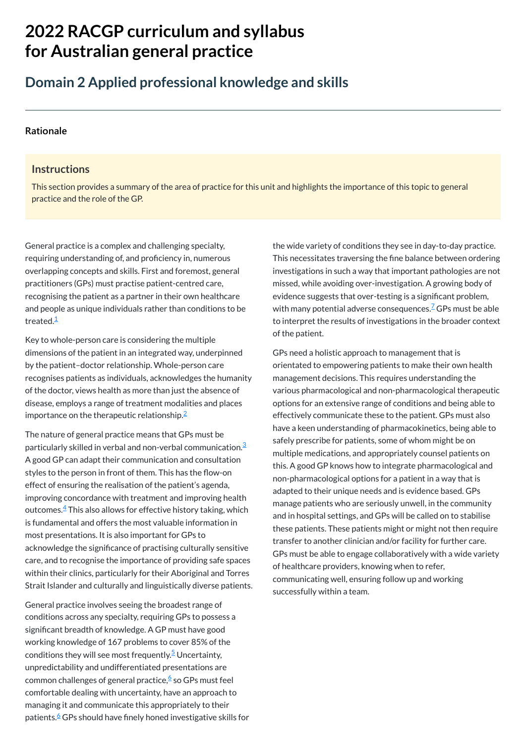# **2022 RACGP curriculum and syllabus for Australian [general practice](https://www.racgp.org.au/Curriculum-and-Syllabus/home)**

## **Domain 2 Applied professional knowledge and skills**

#### **[Rationale](javascript:void(0))**

#### **Instructions**

General practice is a complex and challenging specialty, requiring understanding of, and proficiency in, numerous overlapping concepts and skills. First and foremost, general practitioners (GPs) must practise patient-centred care, recognising the patient as a partner in their own healthcare and people as unique individuals rather than conditions to be treated.<sup>[1](#page-1-0)</sup>

This section provides a summary of the area of practice for this unit and highlights the importance of this topic to general practice and the role of the GP.

Key to whole-person care is considering the multiple dimensions of the patient in an integrated way, underpinned by the patient–doctor relationship. Whole-person care recognises patients as individuals, acknowledges the humanity of the doctor, views health as more than just the absence of disease, employs a range of treatment modalities and places importance on the therapeutic relationship. $^2$  $^2$ 

General practice involves seeing the broadest range of conditions across any specialty, requiring GPs to possess a significant breadth of knowledge. A GP must have good working knowledge of 167 problems to cover 85% of the conditions they will see most frequently.<sup>[5](#page-1-4)</sup> Uncertainty, unpredictability and undifferentiated presentations are common challenges of general practice,<sup>[6](#page-1-5)</sup> so GPs must feel comfortable dealing with uncertainty, have an approach to managing it and communicate this appropriately to their patients.[6](#page-1-5) GPs should have finely honed investigative skills for

The nature of general practice means that GPs must be particularly skilled in verbal and non-verbal communication.<sup>[3](#page-1-2)</sup> A good GP can adapt their communication and consultation styles to the person in front of them. This has the flow-on effect of ensuring the realisation of the patient's agenda, improving concordance with treatment and improving health outcomes. $\frac{4}{3}$  $\frac{4}{3}$  $\frac{4}{3}$  This also allows for effective history taking, which is fundamental and offers the most valuable information in most presentations. It is also important for GPs to acknowledge the significance of practising culturally sensitive care, and to recognise the importance of providing safe spaces within their clinics, particularly for their Aboriginal and Torres Strait Islander and culturally and linguistically diverse patients. the wide variety of conditions they see in day-to-day practice. This necessitates traversing the fine balance between ordering investigations in such a way that important pathologies are not missed, while avoiding over-investigation. A growing body of evidence suggests that over-testing is a significant problem, with many potential adverse consequences.<sup>Z</sup> GPs must be able to interpret the results of investigations in the broader context of the patient.

GPs need a holistic approach to management that is orientated to empowering patients to make their own health management decisions. This requires understanding the various pharmacological and non-pharmacological therapeutic options for an extensive range of conditions and being able to effectively communicate these to the patient. GPs must also have a keen understanding of pharmacokinetics, being able to safely prescribe for patients, some of whom might be on multiple medications, and appropriately counsel patients on this. A good GP knows how to integrate pharmacological and non-pharmacological options for a patient in a way that is adapted to their unique needs and is evidence based. GPs manage patients who are seriously unwell, in the community and in hospital settings, and GPs will be called on to stabilise these patients. These patients might or might not then require transfer to another clinician and/or facility for further care. GPs must be able to engage collaboratively with a wide variety of healthcare providers, knowing when to refer, communicating well, ensuring follow up and working successfully within a team.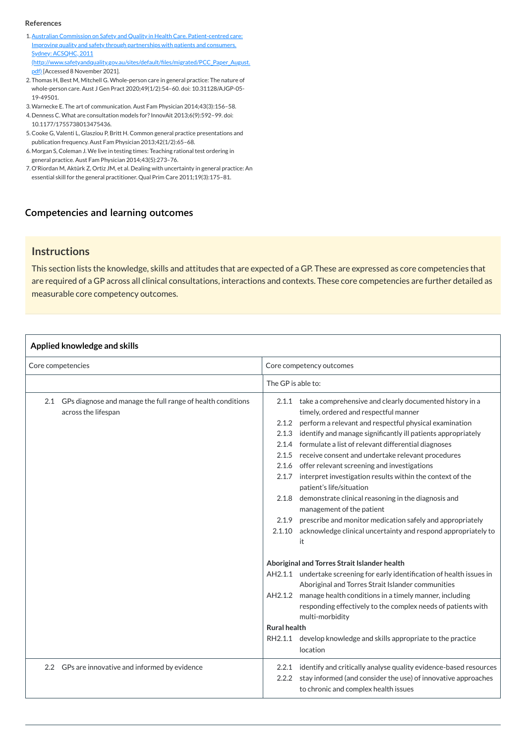#### **[Competencies and learning outcomes](javascript:void(0))**

#### **Instructions**

This section lists the knowledge, skills and attitudes that are expected of a GP. These are expressed as core competencies that are required of a GP across all clinical consultations, interactions and contexts. These core competencies are further detailed as measurable core competency outcomes.

#### **Applied knowledge and skills**

| Core competencies                                                                         | Core competency outcomes                                                                                                                                                                                                                                                                                                                                                                                                                                                                                                                                                                                                                                                                                                                                                                        |
|-------------------------------------------------------------------------------------------|-------------------------------------------------------------------------------------------------------------------------------------------------------------------------------------------------------------------------------------------------------------------------------------------------------------------------------------------------------------------------------------------------------------------------------------------------------------------------------------------------------------------------------------------------------------------------------------------------------------------------------------------------------------------------------------------------------------------------------------------------------------------------------------------------|
|                                                                                           | The GP is able to:                                                                                                                                                                                                                                                                                                                                                                                                                                                                                                                                                                                                                                                                                                                                                                              |
| GPs diagnose and manage the full range of health conditions<br>2.1<br>across the lifespan | take a comprehensive and clearly documented history in a<br>2.1.1<br>timely, ordered and respectful manner<br>perform a relevant and respectful physical examination<br>2.1.2<br>identify and manage significantly ill patients appropriately<br>2.1.3<br>formulate a list of relevant differential diagnoses<br>2.1.4<br>receive consent and undertake relevant procedures<br>2.1.5<br>2.1.6 offer relevant screening and investigations<br>interpret investigation results within the context of the<br>2.1.7<br>patient's life/situation<br>demonstrate clinical reasoning in the diagnosis and<br>2.1.8<br>management of the patient<br>prescribe and monitor medication safely and appropriately<br>2.1.9<br>acknowledge clinical uncertainty and respond appropriately to<br>2.1.10<br>it |

| Aboriginal and Torres Strait Islander health                                |  |  |
|-----------------------------------------------------------------------------|--|--|
| undertake screening for early identification of health issues in<br>AH2.1.1 |  |  |
| Aboriginal and Torres Strait Islander communities                           |  |  |
| manage health conditions in a timely manner, including<br>AH2.1.2           |  |  |
| responding effectively to the complex needs of patients with                |  |  |
| multi-morbidity                                                             |  |  |
| <b>Rural health</b>                                                         |  |  |
| develop knowledge and skills appropriate to the practice<br>RH2.1.1         |  |  |
| location                                                                    |  |  |
| identify and critically analyse quality evidence-based resources<br>2.2.1   |  |  |
| 2.2.2 stay informed (and consider the use) of innovative approaches         |  |  |
| to chronic and complex health issues                                        |  |  |
|                                                                             |  |  |

- <span id="page-1-0"></span>1. Australian Commission on Safety and Quality in Health Care. Patient-centred care: Improving quality and safety through partnerships with patients and consumers. Sydney: ACSQHC, 2011 [\(http://www.safetyandquality.gov.au/sites/default/files/migrated/PCC\\_Paper\\_August.](http://www.safetyandquality.gov.au/sites/default/files/migrated/PCC_Paper_August.pdf) pdf) [Accessed 8 November 2021].
- <span id="page-1-1"></span>2. Thomas H, Best M, Mitchell G. Whole-person care in general practice: The nature of whole-person care. Aust J Gen Pract 2020;49(1/2):54–60. doi: 10.31128/AJGP-05- 19-49501.
- <span id="page-1-2"></span>3.Warnecke E. The art of communication. Aust Fam Physician 2014;43(3):156–58.
- <span id="page-1-3"></span>4. Denness C. What are consultation models for? InnovAit 2013;6(9):592-99. doi: 10.1177/1755738013475436.
- <span id="page-1-4"></span>5.Cooke G, Valenti L, Glasziou P, Britt H. Common general practice presentations and publication frequency. Aust Fam Physician 2013;42(1/2):65–68.
- <span id="page-1-5"></span>6. Morgan S, Coleman J. We live in testing times: Teaching rational test ordering in general practice. Aust Fam Physician 2014;43(5):273–76.
- <span id="page-1-6"></span>7. O'Riordan M, Aktürk Z, Ortiz JM, et al. Dealing with uncertainty in general practice: An essential skill for the general practitioner. Qual Prim Care 2011;19(3):175–81.

#### **References**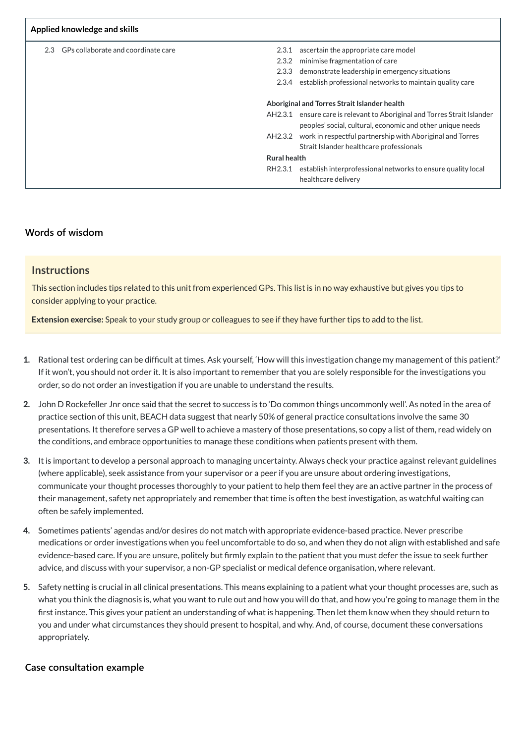| Applied knowledge and skills               |                                                                             |  |
|--------------------------------------------|-----------------------------------------------------------------------------|--|
| GPs collaborate and coordinate care<br>2.3 | ascertain the appropriate care model<br>2.3.1                               |  |
|                                            | minimise fragmentation of care<br>2.3.2                                     |  |
|                                            | 2.3.3<br>demonstrate leadership in emergency situations                     |  |
|                                            | establish professional networks to maintain quality care<br>2.3.4           |  |
|                                            |                                                                             |  |
|                                            | Aboriginal and Torres Strait Islander health                                |  |
|                                            | ensure care is relevant to Aboriginal and Torres Strait Islander<br>AH2.3.1 |  |
|                                            | peoples' social, cultural, economic and other unique needs                  |  |
|                                            | work in respectful partnership with Aboriginal and Torres<br>AH2.3.2        |  |
|                                            | Strait Islander healthcare professionals                                    |  |
|                                            | <b>Rural health</b>                                                         |  |
|                                            | establish interprofessional networks to ensure quality local<br>RH2.3.1     |  |
|                                            | healthcare delivery                                                         |  |

## **[Words of wisdom](javascript:void(0))**

#### **Instructions**

This section includes tips related to this unit from experienced GPs. This list is in no way exhaustive but gives you tips to consider applying to your practice.

**Extension exercise:** Speak to your study group or colleagues to see if they have further tips to add to the list.

- **1.** Rational test ordering can be difficult at times. Ask yourself, 'How will this investigation change my management of this patient?' If it won't, you should not order it. It is also important to remember that you are solely responsible for the investigations you order, so do not order an investigation if you are unable to understand the results.
- **2.** John D Rockefeller Jnr once said that the secret to success is to 'Do common things uncommonly well'. As noted in the area of practice section of this unit, BEACH data suggest that nearly 50% of general practice consultations involve the same 30 presentations. It therefore serves a GP well to achieve a mastery of those presentations, so copy a list of them, read widely on the conditions, and embrace opportunities to manage these conditions when patients present with them.
- **3.** It is important to develop a personal approach to managing uncertainty. Always check your practice against relevant guidelines (where applicable), seek assistance from your supervisor or a peer if you are unsure about ordering investigations, communicate your thought processes thoroughly to your patient to help them feel they are an active partner in the process of their management, safety net appropriately and remember that time is often the best investigation, as watchful waiting can often be safely implemented.
- **4.** Sometimes patients' agendas and/or desires do not match with appropriate evidence-based practice. Never prescribe medications or order investigations when you feel uncomfortable to do so, and when they do not align with established and safe evidence-based care. If you are unsure, politely but firmly explain to the patient that you must defer the issue to seek further

advice, and discuss with your supervisor, a non-GP specialist or medical defence organisation, where relevant.

**5.** Safety netting is crucial in all clinical presentations. This means explaining to a patient what your thought processes are, such as what you think the diagnosis is, what you want to rule out and how you will do that, and how you're going to manage them in the first instance. This gives your patient an understanding of what is happening. Then let them know when they should return to you and under what circumstances they should present to hospital, and why. And, of course, document these conversations appropriately.

#### **[Case consultation example](javascript:void(0))**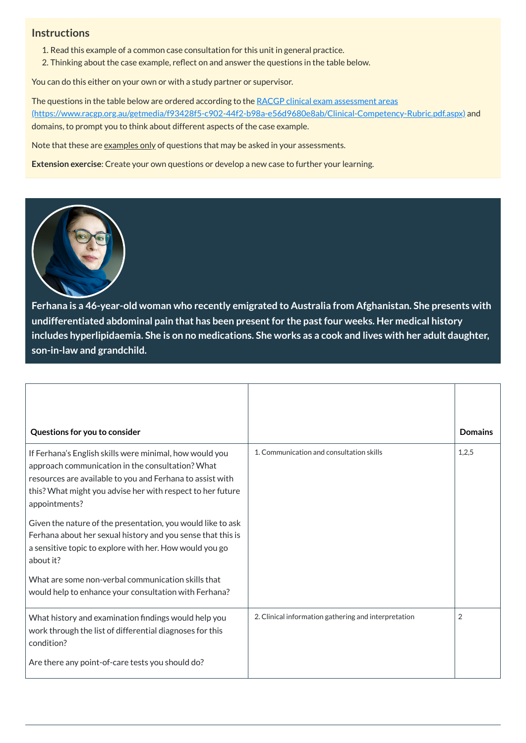### **Instructions**

- 1. Read this example of a common case consultation for this unit in general practice.
- 2. Thinking about the case example, reflect on and answer the questions in the table below.

You can do this either on your own or with a study partner or supervisor.

The questions in the table below are ordered according to the RACGP clinical exam assessment areas [\(https://www.racgp.org.au/getmedia/f93428f5-c902-44f2-b98a-e56d9680e8ab/Clinical-Competency-Rubric.pdf.aspx\)](https://www.racgp.org.au/getmedia/f93428f5-c902-44f2-b98a-e56d9680e8ab/Clinical-Competency-Rubric.pdf.aspx) and domains, to prompt you to think about different aspects of the case example.

Note that these are examples only of questions that may be asked in your assessments.

**Extension exercise**: Create your own questions or develop a new case to further your learning.



**Ferhana is a 46-year-old woman who recently emigrated to Australia from Afghanistan. She presents with undifferentiated abdominal pain that has been presentfor the pastfour weeks. Her medical history** includes hyperlipidaemia. She is on no medications. She works as a cook and lives with her adult daughter, **son-in-law and grandchild.**

| Questions for you to consider                                                                                                                                                                                                                                                                                                                                                                                                                                 |                                                      | <b>Domains</b> |
|---------------------------------------------------------------------------------------------------------------------------------------------------------------------------------------------------------------------------------------------------------------------------------------------------------------------------------------------------------------------------------------------------------------------------------------------------------------|------------------------------------------------------|----------------|
| If Ferhana's English skills were minimal, how would you<br>approach communication in the consultation? What<br>resources are available to you and Ferhana to assist with<br>this? What might you advise her with respect to her future<br>appointments?<br>Given the nature of the presentation, you would like to ask<br>Ferhana about her sexual history and you sense that this is<br>a sensitive topic to explore with her. How would you go<br>about it? | 1. Communication and consultation skills             | 1,2,5          |
| What are some non-verbal communication skills that<br>would help to enhance your consultation with Ferhana?                                                                                                                                                                                                                                                                                                                                                   |                                                      |                |
| What history and examination findings would help you<br>work through the list of differential diagnoses for this<br>condition?<br>Are there any point-of-care tests you should do?                                                                                                                                                                                                                                                                            | 2. Clinical information gathering and interpretation | 2              |
|                                                                                                                                                                                                                                                                                                                                                                                                                                                               |                                                      |                |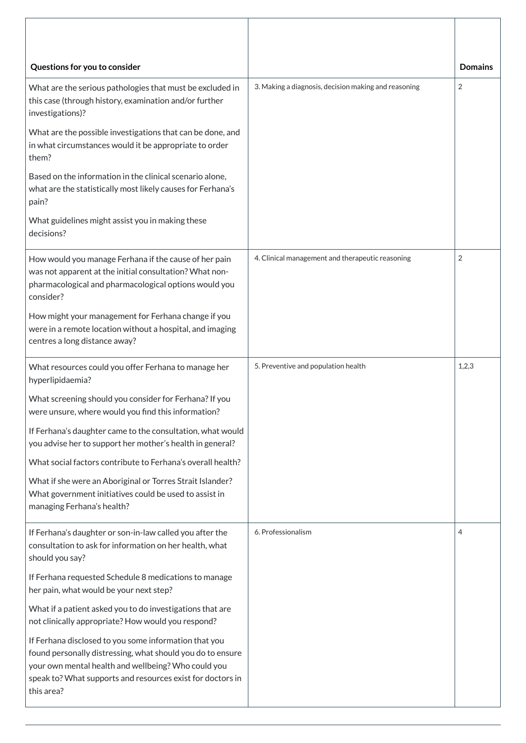| Questions for you to consider                                                                                                                                                                                                                 |                                                      | <b>Domains</b> |
|-----------------------------------------------------------------------------------------------------------------------------------------------------------------------------------------------------------------------------------------------|------------------------------------------------------|----------------|
| What are the serious pathologies that must be excluded in<br>this case (through history, examination and/or further<br>investigations)?                                                                                                       | 3. Making a diagnosis, decision making and reasoning | $\overline{2}$ |
| What are the possible investigations that can be done, and<br>in what circumstances would it be appropriate to order<br>them?                                                                                                                 |                                                      |                |
| Based on the information in the clinical scenario alone,<br>what are the statistically most likely causes for Ferhana's<br>pain?                                                                                                              |                                                      |                |
| What guidelines might assist you in making these<br>decisions?                                                                                                                                                                                |                                                      |                |
| How would you manage Ferhana if the cause of her pain<br>was not apparent at the initial consultation? What non-<br>pharmacological and pharmacological options would you<br>consider?<br>How might your management for Ferhana change if you | 4. Clinical management and therapeutic reasoning     | 2              |
| were in a remote location without a hospital, and imaging<br>centres a long distance away?                                                                                                                                                    |                                                      |                |
| What resources could you offer Ferhana to manage her<br>hyperlipidaemia?                                                                                                                                                                      | 5. Preventive and population health                  | 1,2,3          |
| What screening should you consider for Ferhana? If you<br>were unsure, where would you find this information?                                                                                                                                 |                                                      |                |
| If Ferhana's daughter came to the consultation, what would<br>you advise her to support her mother's health in general?                                                                                                                       |                                                      |                |
| What social factors contribute to Ferhana's overall health?                                                                                                                                                                                   |                                                      |                |
| What if she were an Aboriginal or Torres Strait Islander?<br>What government initiatives could be used to assist in<br>managing Ferhana's health?                                                                                             |                                                      |                |
| If Ferhana's daughter or son-in-law called you after the<br>consultation to ask for information on her health, what<br>should you say?                                                                                                        | 6. Professionalism                                   | 4              |

| JIIVUIU YVU JUY.                                                                                                |
|-----------------------------------------------------------------------------------------------------------------|
| If Ferhana requested Schedule 8 medications to manage<br>her pain, what would be your next step?                |
| What if a patient asked you to do investigations that are<br>not clinically appropriate? How would you respond? |
| If Ferhana disclosed to you some information that you                                                           |
| found personally distressing, what should you do to ensure                                                      |
| your own mental health and wellbeing? Who could you                                                             |
| speak to? What supports and resources exist for doctors in                                                      |
| this area?                                                                                                      |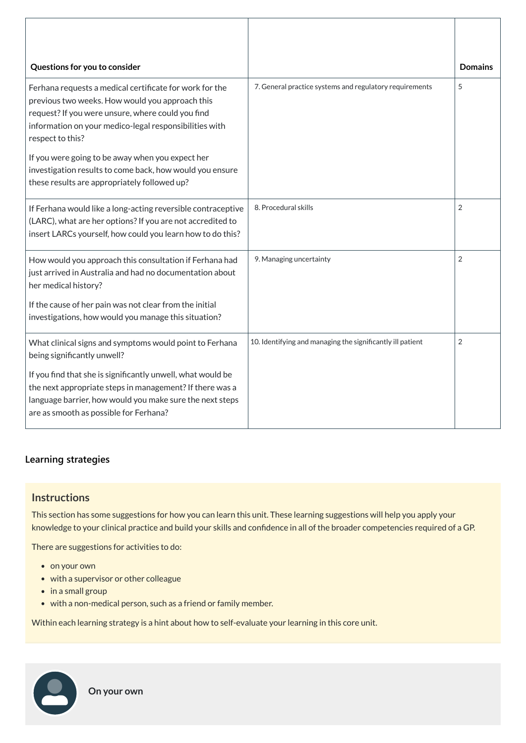| Questions for you to consider                                                                                                                                                                                                                 |                                                            | <b>Domains</b> |
|-----------------------------------------------------------------------------------------------------------------------------------------------------------------------------------------------------------------------------------------------|------------------------------------------------------------|----------------|
| Ferhana requests a medical certificate for work for the<br>previous two weeks. How would you approach this<br>request? If you were unsure, where could you find<br>information on your medico-legal responsibilities with<br>respect to this? | 7. General practice systems and regulatory requirements    | 5              |
| If you were going to be away when you expect her<br>investigation results to come back, how would you ensure<br>these results are appropriately followed up?                                                                                  |                                                            |                |
| If Ferhana would like a long-acting reversible contraceptive<br>(LARC), what are her options? If you are not accredited to<br>insert LARCs yourself, how could you learn how to do this?                                                      | 8. Procedural skills                                       | 2              |
| How would you approach this consultation if Ferhana had<br>just arrived in Australia and had no documentation about<br>her medical history?                                                                                                   | 9. Managing uncertainty                                    | $\overline{2}$ |
| If the cause of her pain was not clear from the initial<br>investigations, how would you manage this situation?                                                                                                                               |                                                            |                |
| What clinical signs and symptoms would point to Ferhana<br>being significantly unwell?                                                                                                                                                        | 10. Identifying and managing the significantly ill patient | 2              |
| If you find that she is significantly unwell, what would be<br>the next appropriate steps in management? If there was a<br>language barrier, how would you make sure the next steps<br>are as smooth as possible for Ferhana?                 |                                                            |                |

- on your own
- with a supervisor or other colleague
- $\bullet$  in a small group
- with a non-medical person, such as a friend or family member.

## **[Learning strategies](javascript:void(0))**

### **Instructions**

This section has some suggestions for how you can learn this unit. These learning suggestions will help you apply your knowledge to your clinical practice and build your skills and confidence in all of the broader competencies required of a GP.

There are suggestions for activities to do:

Within each learning strategy is a hint about how to self-evaluate your learning in this core unit.

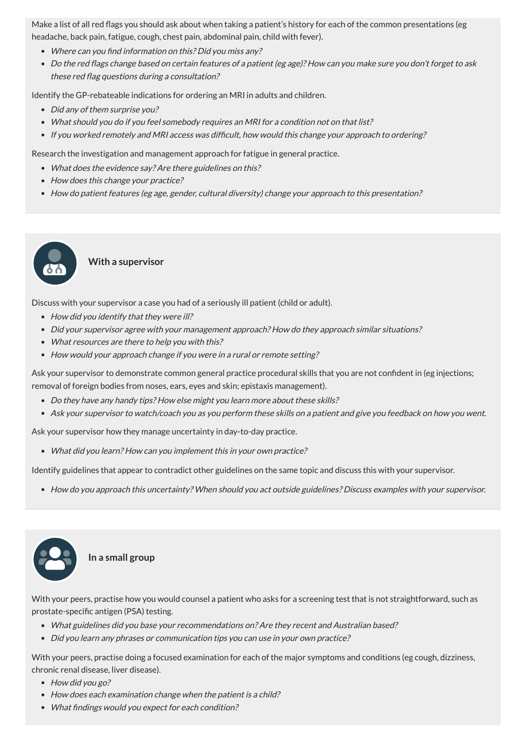Make a list of all red flags you should ask about when taking a patient's history for each of the common presentations (eg headache, back pain, fatigue, cough, chest pain, abdominal pain, child with fever).

- Where can you find information on this? Did you miss any?
- Do the red flags change based on certain features of <sup>a</sup> patient (eg age)? How can you make sure you don't forget to ask these red flag questions during <sup>a</sup> consultation?

Identify the GP-rebateable indications for ordering an MRI in adults and children.

- Did any of them surprise you?
- What should you do if you feel somebody requires an MRI for <sup>a</sup> condition not on that list?
- If you worked remotely and MRI access was difficult, how would this change your approach to ordering?

- What does the evidence say? Are there guidelines on this?
- How does this change your practice?
- How do patient features (eg age, gender, cultural diversity) change your approach to this presentation?

Research the investigation and management approach for fatigue in general practice.

#### **With a supervisor**

Discuss with your supervisor a case you had of a seriously ill patient (child or adult).

- How did you identify that they were ill?
- Did your supervisor agree with your management approach? How do they approach similar situations?
- What resources are there to help you with this?
- How would your approach change if you were in a rural or remote setting?

Ask your supervisor to demonstrate common general practice procedural skills that you are not confident in (eg injections; removal of foreign bodies from noses, ears, eyes and skin; epistaxis management).

- Do they have any handy tips? How else might you learn more about these skills?
- Ask your supervisor to watch/coach you as you perform these skills on <sup>a</sup> patient and give you feedback on how you went.

Ask your supervisor how they manage uncertainty in day-to-day practice.

What did you learn? How can you implement this in your own practice?

Identify guidelines that appear to contradict other guidelines on the same topic and discuss this with your supervisor.

How do you approach this uncertainty? When should you act outside guidelines? Discuss examples with your supervisor.



With your peers, practise how you would counsel a patient who asks for a screening test that is not straightforward, such as prostate-specific antigen (PSA) testing.

- What guidelines did you base your recommendations on? Are they recent and Australian based?
- Did you learn any phrases or communication tips you can use in your own practice?

With your peers, practise doing a focused examination for each of the major symptoms and conditions (eg cough, dizziness, chronic renal disease, liver disease).

- How did you go?
- How does each examination change when the patient is a child?
- What findings would you expect for each condition?

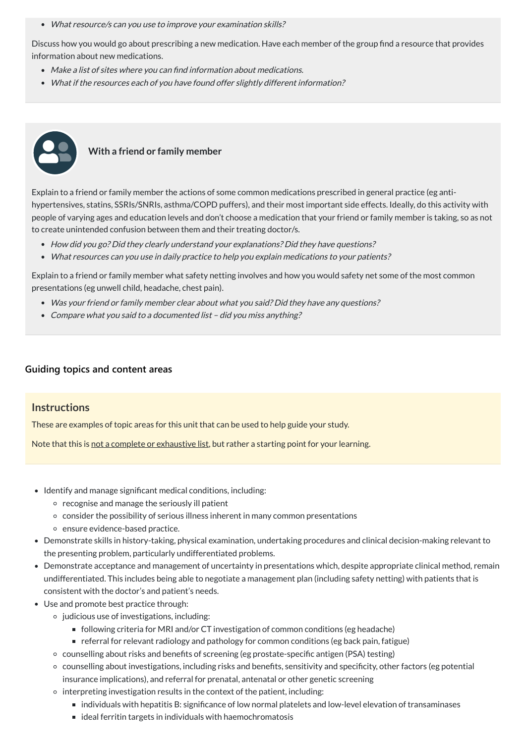• What resource/s can you use to improve your examination skills?

Discuss how you would go about prescribing a new medication. Have each member of the group find a resource that provides information about new medications.

- Make <sup>a</sup> list of sites where you can find information about medications.
- What if the resources each of you have found offer slightly different information?



## **With a friend or family member**

- How did you go? Did they clearly understand your explanations? Did they have questions?
- What resources can you use in daily practice to help you explain medications to your patients?

- Was your friend or family member clear about what you said? Did they have any questions?
- Compare what you said to a documented list did you miss anything?

Explain to a friend or family member the actions of some common medications prescribed in general practice (eg antihypertensives, statins, SSRIs/SNRIs, asthma/COPD puffers), and their most important side effects. Ideally, do this activity with people of varying ages and education levels and don't choose a medication that your friend or family member is taking, so as not to create unintended confusion between them and their treating doctor/s.

Explain to a friend or family member what safety netting involves and how you would safety net some of the most common presentations (eg unwell child, headache, chest pain).

#### **[Guiding topics and content areas](javascript:void(0))**

#### **Instructions**

These are examples of topic areas for this unit that can be used to help guide your study.

Note that this is not a complete or exhaustive list, but rather a starting point for your learning.

- Identify and manage significant medical conditions, including:
	- $\circ$  recognise and manage the seriously ill patient
	- consider the possibility of serious illness inherent in many common presentations
	- ensure evidence-based practice.
- Demonstrate skills in history-taking, physical examination, undertaking procedures and clinical decision-making relevant to the presenting problem, particularly undifferentiated problems.
- Demonstrate acceptance and management of uncertainty in presentations which, despite appropriate clinical method, remain undifferentiated. This includes being able to negotiate a management plan (including safety netting) with patients that is consistent with the doctor's and patient's needs.
- Use and promote best practice through:
	- $\circ$  judicious use of investigations, including:
		- following criteria for MRI and/or CT investigation of common conditions (eg headache)
		- referral for relevant radiology and pathology for common conditions (eg back pain, fatigue)
	- counselling about risks and benefits of screening (eg prostate-specific antigen (PSA) testing)
	- counselling about investigations, including risks and benefits, sensitivity and specificity, other factors (eg potential insurance implications), and referral for prenatal, antenatal or other genetic screening
	- $\circ$  interpreting investigation results in the context of the patient, including:
		- individuals with hepatitis B: significance of low normal platelets and low-level elevation of transaminases
		- $\blacksquare$  ideal ferritin targets in individuals with haemochromatosis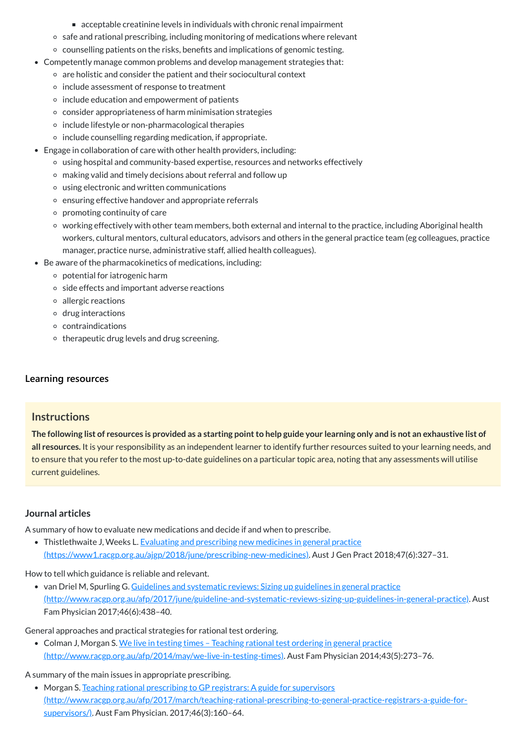The following list of resources is provided as a starting point to help guide your learning only and is not an exhaustive list of **all resources.** It is your responsibility as an independent learner to identify further resources suited to your learning needs, and to ensure that you refer to the most up-to-date guidelines on a particular topic area, noting that any assessments will utilise current guidelines.

• Thistlethwaite J, Weeks L. Evaluating and prescribing new medicines in general practice [\(https://www1.racgp.org.au/ajgp/2018/june/prescribing-new-medicines\).](https://www1.racgp.org.au/ajgp/2018/june/prescribing-new-medicines) Aust J Gen Pract 2018;47(6):327–31.

• van Driel M, Spurling G. Guidelines and systematic reviews: Sizing up guidelines in general practice [\(http://www.racgp.org.au/afp/2017/june/guideline-and-systematic-reviews-sizing-up-guidelines-in-general-practice\).](http://www.racgp.org.au/afp/2017/june/guideline-and-systematic-reviews-sizing-up-guidelines-in-general-practice) Aust Fam Physician 2017;46(6):438–40.

• Colman J, Morgan S. We live in testing times - Teaching rational test ordering in general practice [\(http://www.racgp.org.au/afp/2014/may/we-live-in-testing-times\).](http://www.racgp.org.au/afp/2014/may/we-live-in-testing-times) Aust Fam Physician 2014;43(5):273–76.

- acceptable creatinine levels in individuals with chronic renal impairment
- o safe and rational prescribing, including monitoring of medications where relevant
- counselling patients on the risks, benefits and implications of genomic testing.
- Competently manage common problems and develop management strategies that:
	- $\circ$  are holistic and consider the patient and their sociocultural context
	- $\circ$  include assessment of response to treatment
	- $\circ$  include education and empowerment of patients
	- consider appropriateness of harm minimisation strategies
	- $\circ$  include lifestyle or non-pharmacological therapies
	- $\circ$  include counselling regarding medication, if appropriate.
- Engage in collaboration of care with other health providers, including:
	- using hospital and community-based expertise, resources and networks effectively
	- making valid and timely decisions about referral and follow up
	- using electronic and written communications
	- o ensuring effective handover and appropriate referrals
	- $\circ$  promoting continuity of care
	- working effectively with other team members, both external and internal to the practice, including Aboriginal health workers, cultural mentors, cultural educators, advisors and others in the general practice team (eg colleagues, practice manager, practice nurse, administrative staff, allied health colleagues).
- Be aware of the pharmacokinetics of medications, including:
	- potential for iatrogenic harm
	- o side effects and important adverse reactions
	- allergic reactions
	- $\circ$  drug interactions
	- contraindications
	- $\circ$  therapeutic drug levels and drug screening.

## **[Learning resources](javascript:void(0))**

## **Instructions**

## **Journal articles**

A summary of how to evaluate new medications and decide if and when to prescribe.

How to tell which guidance is reliable and relevant.

General approaches and practical strategies for rational test ordering.

A summary of the main issues in appropriate prescribing.

• Morgan S. Teaching rational prescribing to GP registrars: A guide for supervisors [\(http://www.racgp.org.au/afp/2017/march/teaching-rational-prescribing-to-general-practice-registrars-a-guide-for](http://www.racgp.org.au/afp/2017/march/teaching-rational-prescribing-to-general-practice-registrars-a-guide-for-supervisors/)supervisors/). Aust Fam Physician. 2017;46(3):160-64.